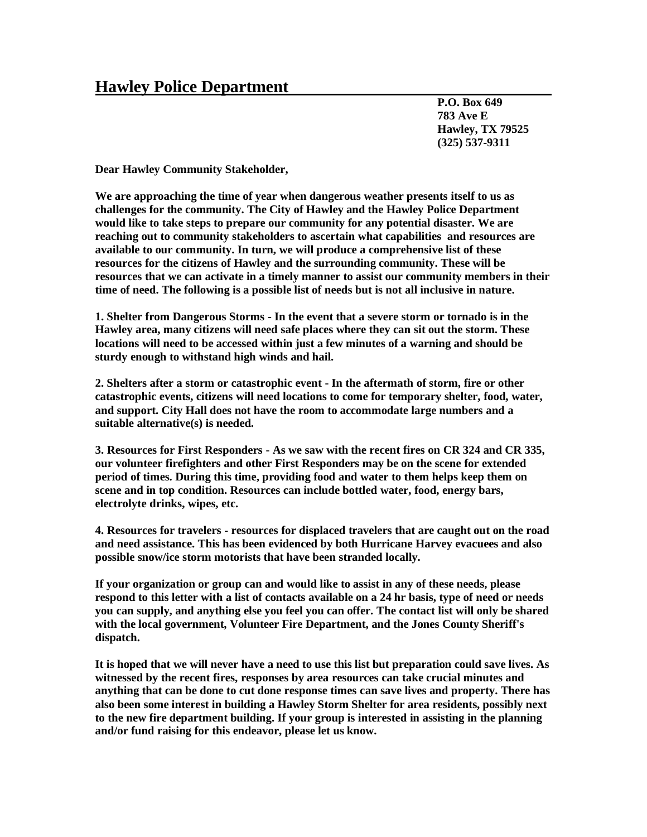## **Hawley Police Department**

**P.O. Box 649 783 Ave E Hawley, TX 79525 (325) 537-9311**

**Dear Hawley Community Stakeholder,**

**We are approaching the time of year when dangerous weather presents itself to us as challenges for the community. The City of Hawley and the Hawley Police Department would like to take steps to prepare our community for any potential disaster. We are reaching out to community stakeholders to ascertain what capabilities and resources are available to our community. In turn, we will produce a comprehensive list of these resources for the citizens of Hawley and the surrounding community. These will be resources that we can activate in a timely manner to assist our community members in their time of need. The following is a possible list of needs but is not all inclusive in nature.**

**1. Shelter from Dangerous Storms - In the event that a severe storm or tornado is in the Hawley area, many citizens will need safe places where they can sit out the storm. These locations will need to be accessed within just a few minutes of a warning and should be sturdy enough to withstand high winds and hail.** 

**2. Shelters after a storm or catastrophic event - In the aftermath of storm, fire or other catastrophic events, citizens will need locations to come for temporary shelter, food, water, and support. City Hall does not have the room to accommodate large numbers and a suitable alternative(s) is needed.** 

**3. Resources for First Responders - As we saw with the recent fires on CR 324 and CR 335, our volunteer firefighters and other First Responders may be on the scene for extended period of times. During this time, providing food and water to them helps keep them on scene and in top condition. Resources can include bottled water, food, energy bars, electrolyte drinks, wipes, etc.** 

**4. Resources for travelers - resources for displaced travelers that are caught out on the road and need assistance. This has been evidenced by both Hurricane Harvey evacuees and also possible snow/ice storm motorists that have been stranded locally.** 

**If your organization or group can and would like to assist in any of these needs, please respond to this letter with a list of contacts available on a 24 hr basis, type of need or needs you can supply, and anything else you feel you can offer. The contact list will only be shared with the local government, Volunteer Fire Department, and the Jones County Sheriff's dispatch.** 

**It is hoped that we will never have a need to use this list but preparation could save lives. As witnessed by the recent fires, responses by area resources can take crucial minutes and anything that can be done to cut done response times can save lives and property. There has also been some interest in building a Hawley Storm Shelter for area residents, possibly next to the new fire department building. If your group is interested in assisting in the planning and/or fund raising for this endeavor, please let us know.**